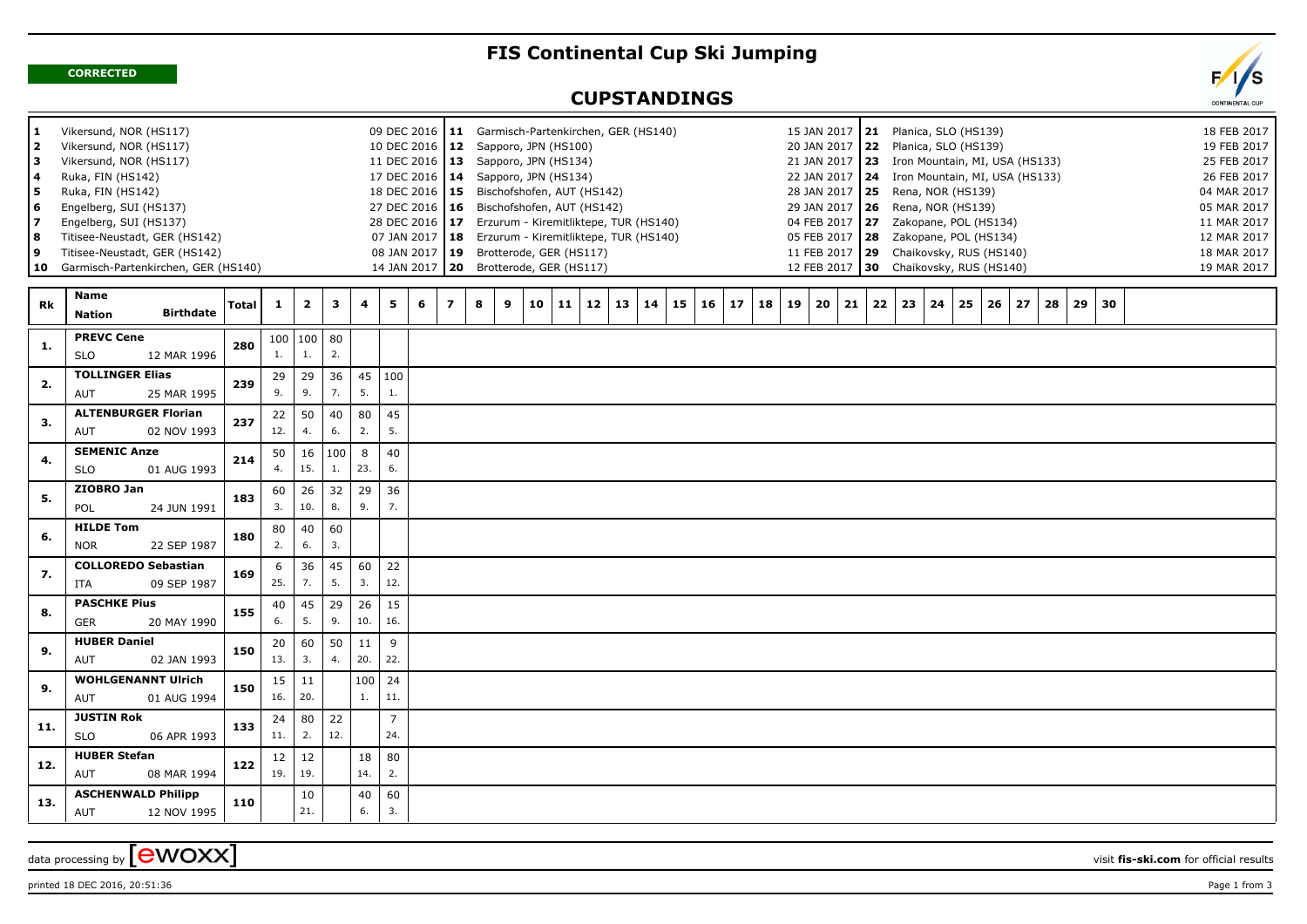## **FIS Continental Cup Ski Jumping**

**CORRECTED**

## $\mathbf{F}$ CONTINENTAL CUP

## **CUPSTANDINGS**

| 1<br>2<br>  3<br>  4<br>5  <br>  6<br>17<br>l 8<br>و ا<br>  10 | Vikersund, NOR (HS117)<br>Vikersund, NOR (HS117)<br>Vikersund, NOR (HS117)<br>Ruka, FIN (HS142)<br>Ruka, FIN (HS142)<br>Engelberg, SUI (HS137)<br>Engelberg, SUI (HS137)<br>Titisee-Neustadt, GER (HS142)<br>Titisee-Neustadt, GER (HS142)<br>Garmisch-Partenkirchen, GER (HS140) |              | 11 Garmisch-Partenkirchen, GER (HS140)<br>12 Sapporo, JPN (HS100)<br>11 DEC 2016   13 Sapporo, JPN (HS134)<br>17 DEC 2016   14 Sapporo, JPN (HS134)<br>18 DEC 2016   15 Bischofshofen, AUT (HS142)<br>27 DEC 2016   16 Bischofshofen, AUT (HS142)<br>28 DEC 2016 17 Erzurum - Kiremitliktepe, TUR (HS140)<br>07 JAN 2017   18 Erzurum - Kiremitliktepe, TUR (HS140)<br>08 JAN 2017   19 Brotterode, GER (HS117)<br>20 Brotterode, GER (HS117) |                      |              |           |                       |   |                         |        |    |    |                 |    |    |          |    | 15 JAN 2017   21  Planica, SLO (HS139)<br>20 JAN 2017 22 Planica, SLO (HS139)<br>21 JAN 2017 23 Iron Mountain, MI, USA (HS133)<br>22 JAN 2017   24 Iron Mountain, MI, USA (HS133)<br>28 JAN 2017   25 Rena, NOR (HS139)<br>29 JAN 2017   26 Rena, NOR (HS139)<br>04 FEB 2017 27 Zakopane, POL (HS134)<br>05 FEB 2017   28     Zakopane, POL (HS134)<br>11 FEB 2017 29 Chaikovsky, RUS (HS140)<br>12 FEB 2017 30 Chaikovsky, RUS (HS140) |    |    |    |    |    |    | 18 FEB 2017<br>19 FEB 2017<br>25 FEB 2017<br>26 FEB 2017<br>04 MAR 2017<br>05 MAR 2017<br>11 MAR 2017<br>12 MAR 2017<br>18 MAR 2017<br>19 MAR 2017 |    |    |    |    |    |  |  |  |
|----------------------------------------------------------------|-----------------------------------------------------------------------------------------------------------------------------------------------------------------------------------------------------------------------------------------------------------------------------------|--------------|-----------------------------------------------------------------------------------------------------------------------------------------------------------------------------------------------------------------------------------------------------------------------------------------------------------------------------------------------------------------------------------------------------------------------------------------------|----------------------|--------------|-----------|-----------------------|---|-------------------------|--------|----|----|-----------------|----|----|----------|----|-----------------------------------------------------------------------------------------------------------------------------------------------------------------------------------------------------------------------------------------------------------------------------------------------------------------------------------------------------------------------------------------------------------------------------------------|----|----|----|----|----|----|----------------------------------------------------------------------------------------------------------------------------------------------------|----|----|----|----|----|--|--|--|
| Rk                                                             | Name<br><b>Birthdate</b><br><b>Nation</b>                                                                                                                                                                                                                                         | <b>Total</b> | $\mathbf{1}$                                                                                                                                                                                                                                                                                                                                                                                                                                  | $\overline{2}$       | $\mathbf{3}$ | 4         | 5.                    | 6 | $\overline{\mathbf{z}}$ | 8<br>9 | 10 | 11 | 12 <sub>1</sub> | 13 | 14 | 15<br>16 | 17 | 18                                                                                                                                                                                                                                                                                                                                                                                                                                      | 19 | 20 | 21 | 22 | 23 | 24 | 25                                                                                                                                                 | 26 | 27 | 28 | 29 | 30 |  |  |  |
| 1.                                                             | <b>PREVC Cene</b><br><b>SLO</b><br>12 MAR 1996                                                                                                                                                                                                                                    | 280          | 1.                                                                                                                                                                                                                                                                                                                                                                                                                                            | 100   100   80<br>1. | 2.           |           |                       |   |                         |        |    |    |                 |    |    |          |    |                                                                                                                                                                                                                                                                                                                                                                                                                                         |    |    |    |    |    |    |                                                                                                                                                    |    |    |    |    |    |  |  |  |
| 2.                                                             | <b>TOLLINGER Elias</b><br><b>AUT</b><br>25 MAR 1995                                                                                                                                                                                                                               | 239          | 29<br>9.                                                                                                                                                                                                                                                                                                                                                                                                                                      | 29<br>9.             | 36<br>7.     | 45<br>5.  | 100<br>1.             |   |                         |        |    |    |                 |    |    |          |    |                                                                                                                                                                                                                                                                                                                                                                                                                                         |    |    |    |    |    |    |                                                                                                                                                    |    |    |    |    |    |  |  |  |
| 3.                                                             | <b>ALTENBURGER Florian</b><br>02 NOV 1993<br><b>AUT</b>                                                                                                                                                                                                                           | 237          | 22<br>12.                                                                                                                                                                                                                                                                                                                                                                                                                                     | 50<br>4.             | 40<br>6.     | 80<br>2.  | 45<br>5.              |   |                         |        |    |    |                 |    |    |          |    |                                                                                                                                                                                                                                                                                                                                                                                                                                         |    |    |    |    |    |    |                                                                                                                                                    |    |    |    |    |    |  |  |  |
| 4.                                                             | <b>SEMENIC Anze</b><br><b>SLO</b><br>01 AUG 1993                                                                                                                                                                                                                                  | 214          | 50<br>4.                                                                                                                                                                                                                                                                                                                                                                                                                                      | 16<br>15.            | 100<br>1.    | 8<br>23.  | 40<br>6.              |   |                         |        |    |    |                 |    |    |          |    |                                                                                                                                                                                                                                                                                                                                                                                                                                         |    |    |    |    |    |    |                                                                                                                                                    |    |    |    |    |    |  |  |  |
| 5.                                                             | ZIOBRO Jan<br>POL<br>24 JUN 1991                                                                                                                                                                                                                                                  | 183          | 60<br>3.                                                                                                                                                                                                                                                                                                                                                                                                                                      | 26<br>10.            | 32<br>8.     | 29<br>9.  | 36<br>7.              |   |                         |        |    |    |                 |    |    |          |    |                                                                                                                                                                                                                                                                                                                                                                                                                                         |    |    |    |    |    |    |                                                                                                                                                    |    |    |    |    |    |  |  |  |
| 6.                                                             | <b>HILDE Tom</b><br><b>NOR</b><br>22 SEP 1987                                                                                                                                                                                                                                     | 180          | 80<br>2.                                                                                                                                                                                                                                                                                                                                                                                                                                      | 40<br>6.             | 60<br>3.     |           |                       |   |                         |        |    |    |                 |    |    |          |    |                                                                                                                                                                                                                                                                                                                                                                                                                                         |    |    |    |    |    |    |                                                                                                                                                    |    |    |    |    |    |  |  |  |
| 7.                                                             | <b>COLLOREDO Sebastian</b><br>ITA<br>09 SEP 1987                                                                                                                                                                                                                                  | 169          | 6<br>25.                                                                                                                                                                                                                                                                                                                                                                                                                                      | 36<br>7.             | 45<br>5.     | 60<br>3.  | 22<br>12.             |   |                         |        |    |    |                 |    |    |          |    |                                                                                                                                                                                                                                                                                                                                                                                                                                         |    |    |    |    |    |    |                                                                                                                                                    |    |    |    |    |    |  |  |  |
| 8.                                                             | <b>PASCHKE Pius</b><br><b>GER</b><br>20 MAY 1990                                                                                                                                                                                                                                  | 155          | 40<br>6.                                                                                                                                                                                                                                                                                                                                                                                                                                      | 45<br>5.             | 29<br>9.     | 26<br>10. | 15<br>16.             |   |                         |        |    |    |                 |    |    |          |    |                                                                                                                                                                                                                                                                                                                                                                                                                                         |    |    |    |    |    |    |                                                                                                                                                    |    |    |    |    |    |  |  |  |
| 9.                                                             | <b>HUBER Daniel</b><br>AUT<br>02 JAN 1993                                                                                                                                                                                                                                         | 150          | 20<br>13.                                                                                                                                                                                                                                                                                                                                                                                                                                     | 60<br>3.             | 50<br>4.     | 11<br>20. | 9<br>22.              |   |                         |        |    |    |                 |    |    |          |    |                                                                                                                                                                                                                                                                                                                                                                                                                                         |    |    |    |    |    |    |                                                                                                                                                    |    |    |    |    |    |  |  |  |
| 9.                                                             | <b>WOHLGENANNT Ulrich</b><br>AUT<br>01 AUG 1994                                                                                                                                                                                                                                   | 150          | 15<br>16.                                                                                                                                                                                                                                                                                                                                                                                                                                     | 11<br>20.            |              | 100<br>1. | 24<br>11.             |   |                         |        |    |    |                 |    |    |          |    |                                                                                                                                                                                                                                                                                                                                                                                                                                         |    |    |    |    |    |    |                                                                                                                                                    |    |    |    |    |    |  |  |  |
| 11.                                                            | <b>JUSTIN Rok</b><br><b>SLO</b><br>06 APR 1993                                                                                                                                                                                                                                    | 133          | 24<br>11.                                                                                                                                                                                                                                                                                                                                                                                                                                     | 80<br>2.             | 22<br>12.    |           | $\overline{7}$<br>24. |   |                         |        |    |    |                 |    |    |          |    |                                                                                                                                                                                                                                                                                                                                                                                                                                         |    |    |    |    |    |    |                                                                                                                                                    |    |    |    |    |    |  |  |  |
| 12.                                                            | <b>HUBER Stefan</b><br>AUT<br>08 MAR 1994                                                                                                                                                                                                                                         | 122          | 12<br>19.                                                                                                                                                                                                                                                                                                                                                                                                                                     | 12<br>19.            |              | 18<br>14. | 80<br>2.              |   |                         |        |    |    |                 |    |    |          |    |                                                                                                                                                                                                                                                                                                                                                                                                                                         |    |    |    |    |    |    |                                                                                                                                                    |    |    |    |    |    |  |  |  |
| 13.                                                            | <b>ASCHENWALD Philipp</b><br>AUT<br>12 NOV 1995                                                                                                                                                                                                                                   | 110          |                                                                                                                                                                                                                                                                                                                                                                                                                                               | 10<br>21.            |              | 40<br>6.  | 60<br>3.              |   |                         |        |    |    |                 |    |    |          |    |                                                                                                                                                                                                                                                                                                                                                                                                                                         |    |    |    |    |    |    |                                                                                                                                                    |    |    |    |    |    |  |  |  |

data processing by **CWOXX** visit fis-ski.com for official results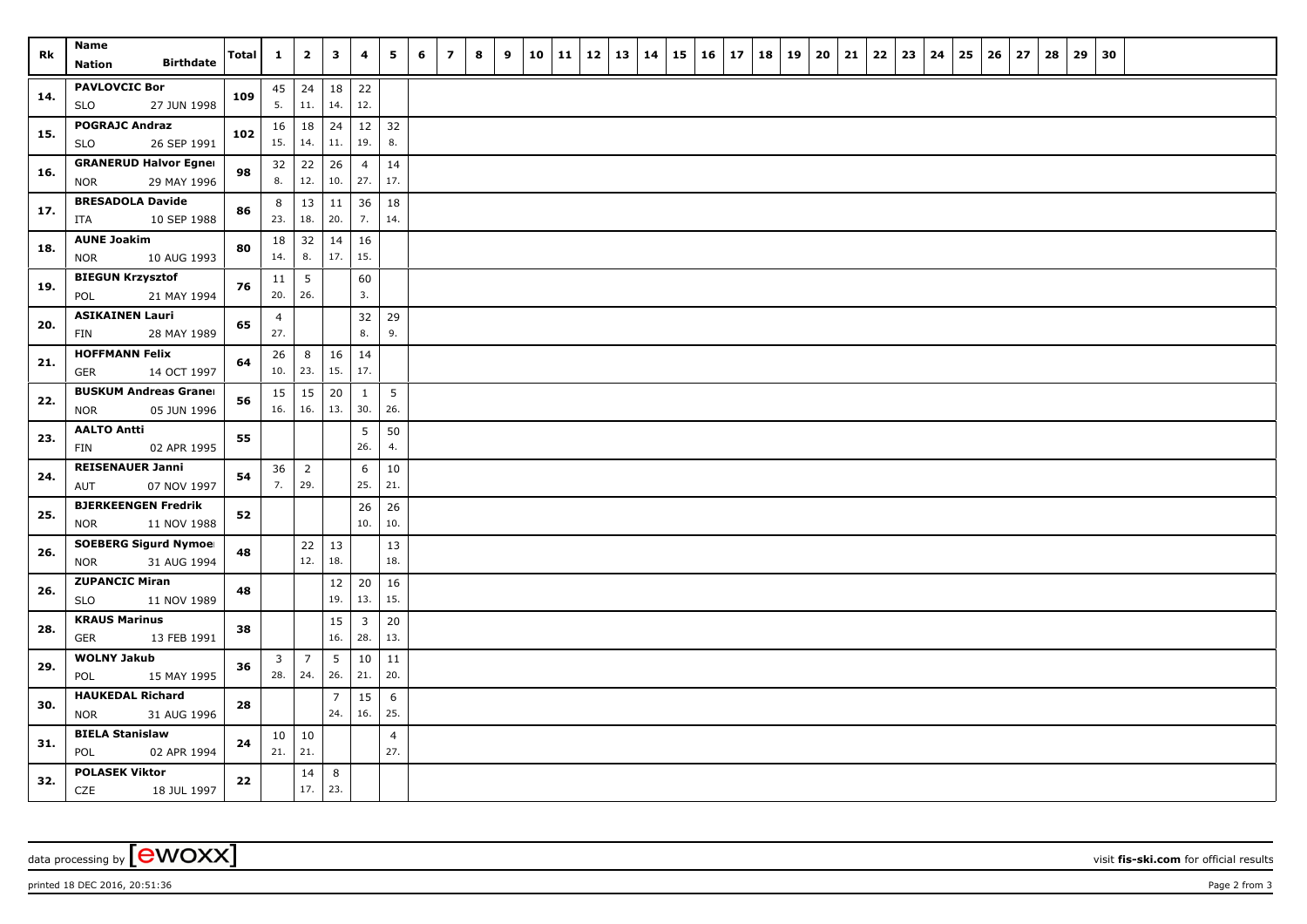| Rk  | Name<br><b>Birthdate</b>                                  | Total | $\mathbf{1}$          | $\overline{\mathbf{2}}$ | $\mathbf{3}$          | 4                     | 5                     | 6 | $\overline{\mathbf{z}}$ | 8 | 9 | 10 | 11 | 12 | 13 | 14 | 15 | 16 | 17 | 18 | 19 | 20 | 21 | 22 | 23 | 24 | 25 | 26 | 27 | 28 | 29 | 30 |  |  |
|-----|-----------------------------------------------------------|-------|-----------------------|-------------------------|-----------------------|-----------------------|-----------------------|---|-------------------------|---|---|----|----|----|----|----|----|----|----|----|----|----|----|----|----|----|----|----|----|----|----|----|--|--|
|     | <b>Nation</b>                                             |       |                       |                         |                       |                       |                       |   |                         |   |   |    |    |    |    |    |    |    |    |    |    |    |    |    |    |    |    |    |    |    |    |    |  |  |
| 14. | <b>PAVLOVCIC Bor</b><br><b>SLO</b><br>27 JUN 1998         | 109   | 5.                    | $45 \mid 24$<br>11.     | 18<br>14.             | 22<br>12.             |                       |   |                         |   |   |    |    |    |    |    |    |    |    |    |    |    |    |    |    |    |    |    |    |    |    |    |  |  |
| 15. | <b>POGRAJC Andraz</b><br>26 SEP 1991<br><b>SLO</b>        | 102   | $16 \mid 18$<br>15.   | 14.                     | 24<br>11.             | 12<br>19.             | 32<br>8.              |   |                         |   |   |    |    |    |    |    |    |    |    |    |    |    |    |    |    |    |    |    |    |    |    |    |  |  |
| 16. | <b>GRANERUD Halvor Egner</b><br><b>NOR</b><br>29 MAY 1996 | 98    | 32<br>8.              | 22<br>12.               | 26<br>10.             | $\overline{4}$<br>27. | 14<br>17.             |   |                         |   |   |    |    |    |    |    |    |    |    |    |    |    |    |    |    |    |    |    |    |    |    |    |  |  |
| 17. | <b>BRESADOLA Davide</b><br>10 SEP 1988<br>ITA             | 86    | 8<br>23.              | 13<br>18.               | 11<br>20.             | 36<br>7.              | 18<br>14.             |   |                         |   |   |    |    |    |    |    |    |    |    |    |    |    |    |    |    |    |    |    |    |    |    |    |  |  |
| 18. | <b>AUNE Joakim</b>                                        | 80    | 18                    | 32                      | 14                    | 16                    |                       |   |                         |   |   |    |    |    |    |    |    |    |    |    |    |    |    |    |    |    |    |    |    |    |    |    |  |  |
|     | 10 AUG 1993<br><b>NOR</b><br><b>BIEGUN Krzysztof</b>      |       | 14.<br>11             | 8.<br>5                 | 17.                   | 15.<br>60             |                       |   |                         |   |   |    |    |    |    |    |    |    |    |    |    |    |    |    |    |    |    |    |    |    |    |    |  |  |
| 19. | 21 MAY 1994<br>POL                                        | 76    | 20.                   | 26.                     |                       | 3.                    |                       |   |                         |   |   |    |    |    |    |    |    |    |    |    |    |    |    |    |    |    |    |    |    |    |    |    |  |  |
| 20. | <b>ASIKAINEN Lauri</b><br>28 MAY 1989<br>FIN              | 65    | $\overline{4}$<br>27. |                         |                       | 32<br>8.              | 29<br>9.              |   |                         |   |   |    |    |    |    |    |    |    |    |    |    |    |    |    |    |    |    |    |    |    |    |    |  |  |
| 21. | <b>HOFFMANN Felix</b><br><b>GER</b><br>14 OCT 1997        | 64    | 26<br>10.             | 8<br>23.                | 16<br>15.             | 14<br>17.             |                       |   |                         |   |   |    |    |    |    |    |    |    |    |    |    |    |    |    |    |    |    |    |    |    |    |    |  |  |
| 22. | <b>BUSKUM Andreas Graner</b><br><b>NOR</b><br>05 JUN 1996 | 56    | $15 \mid 15$<br>16.   | 16.                     | 20<br>13.             | $\mathbf{1}$<br>30.   | 5<br>26.              |   |                         |   |   |    |    |    |    |    |    |    |    |    |    |    |    |    |    |    |    |    |    |    |    |    |  |  |
| 23. | <b>AALTO Antti</b><br>02 APR 1995<br><b>FIN</b>           | 55    |                       |                         |                       | 5<br>26.              | 50<br>4.              |   |                         |   |   |    |    |    |    |    |    |    |    |    |    |    |    |    |    |    |    |    |    |    |    |    |  |  |
| 24. | <b>REISENAUER Janni</b>                                   | 54    | 36<br>7.              | $\overline{2}$<br>29.   |                       | 6<br>25.              | 10<br>21.             |   |                         |   |   |    |    |    |    |    |    |    |    |    |    |    |    |    |    |    |    |    |    |    |    |    |  |  |
| 25. | AUT<br>07 NOV 1997<br><b>BJERKEENGEN Fredrik</b>          | 52    |                       |                         |                       | 26                    | 26                    |   |                         |   |   |    |    |    |    |    |    |    |    |    |    |    |    |    |    |    |    |    |    |    |    |    |  |  |
|     | 11 NOV 1988<br><b>NOR</b>                                 |       |                       |                         |                       | 10.                   | 10.                   |   |                         |   |   |    |    |    |    |    |    |    |    |    |    |    |    |    |    |    |    |    |    |    |    |    |  |  |
| 26. | <b>SOEBERG Sigurd Nymoel</b><br>31 AUG 1994<br><b>NOR</b> | 48    |                       | 22<br>12.               | 13<br>18.             |                       | 13<br>18.             |   |                         |   |   |    |    |    |    |    |    |    |    |    |    |    |    |    |    |    |    |    |    |    |    |    |  |  |
| 26. | <b>ZUPANCIC Miran</b><br><b>SLO</b><br>11 NOV 1989        | 48    |                       |                         | $12$<br>19.           | 20<br>13.             | 16<br>15.             |   |                         |   |   |    |    |    |    |    |    |    |    |    |    |    |    |    |    |    |    |    |    |    |    |    |  |  |
| 28. | <b>KRAUS Marinus</b><br><b>GER</b><br>13 FEB 1991         | 38    |                       |                         | 15<br>16.             | 3<br>28.              | 20<br>13.             |   |                         |   |   |    |    |    |    |    |    |    |    |    |    |    |    |    |    |    |    |    |    |    |    |    |  |  |
| 29. | <b>WOLNY Jakub</b><br>POL<br>15 MAY 1995                  | 36    | 3<br>28.              | $\overline{7}$<br>24.   | 5<br>26.              | $10\,$<br>21.         | 11<br>20.             |   |                         |   |   |    |    |    |    |    |    |    |    |    |    |    |    |    |    |    |    |    |    |    |    |    |  |  |
| 30. | <b>HAUKEDAL Richard</b>                                   | 28    |                       |                         | $\overline{7}$<br>24. | 15                    | 6                     |   |                         |   |   |    |    |    |    |    |    |    |    |    |    |    |    |    |    |    |    |    |    |    |    |    |  |  |
| 31. | <b>NOR</b><br>31 AUG 1996<br><b>BIELA Stanislaw</b>       | 24    | $10 \mid 10$          |                         |                       | 16.                   | 25.<br>$\overline{4}$ |   |                         |   |   |    |    |    |    |    |    |    |    |    |    |    |    |    |    |    |    |    |    |    |    |    |  |  |
|     | 02 APR 1994<br>POL<br><b>POLASEK Viktor</b>               |       | 21.                   | 21.<br>14               | 8                     |                       | 27.                   |   |                         |   |   |    |    |    |    |    |    |    |    |    |    |    |    |    |    |    |    |    |    |    |    |    |  |  |
| 32. | CZE<br>18 JUL 1997                                        | 22    |                       | 17.                     | 23.                   |                       |                       |   |                         |   |   |    |    |    |    |    |    |    |    |    |    |    |    |    |    |    |    |    |    |    |    |    |  |  |

data processing by **CWOXX** visit **fis-ski.com** for official results

printed 18 DEC 2016, 20:51:36 **Page 2** from 3